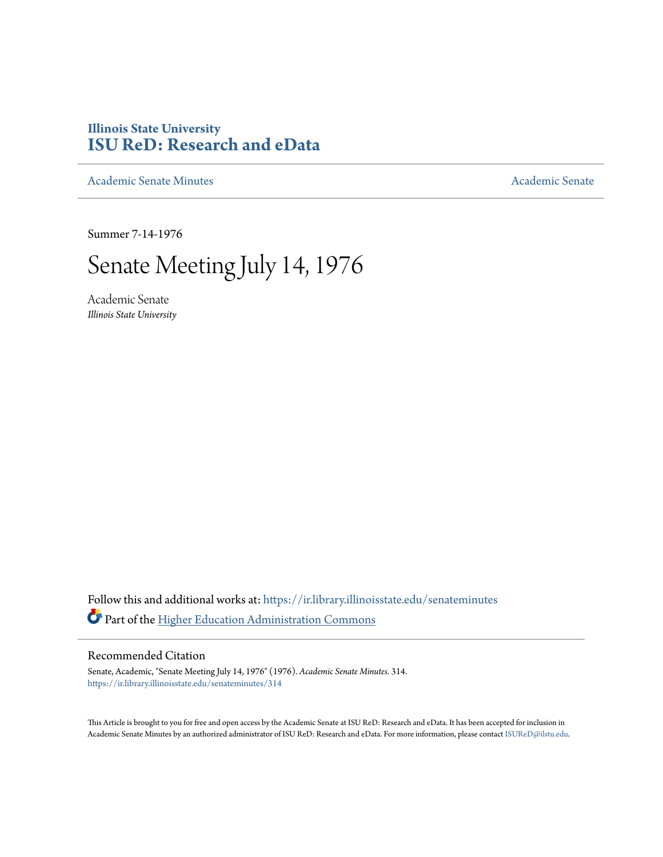# **Illinois State University [ISU ReD: Research and eData](https://ir.library.illinoisstate.edu?utm_source=ir.library.illinoisstate.edu%2Fsenateminutes%2F314&utm_medium=PDF&utm_campaign=PDFCoverPages)**

[Academic Senate Minutes](https://ir.library.illinoisstate.edu/senateminutes?utm_source=ir.library.illinoisstate.edu%2Fsenateminutes%2F314&utm_medium=PDF&utm_campaign=PDFCoverPages) [Academic Senate](https://ir.library.illinoisstate.edu/senate?utm_source=ir.library.illinoisstate.edu%2Fsenateminutes%2F314&utm_medium=PDF&utm_campaign=PDFCoverPages) Academic Senate

Summer 7-14-1976

# Senate Meeting July 14, 1976

Academic Senate *Illinois State University*

Follow this and additional works at: [https://ir.library.illinoisstate.edu/senateminutes](https://ir.library.illinoisstate.edu/senateminutes?utm_source=ir.library.illinoisstate.edu%2Fsenateminutes%2F314&utm_medium=PDF&utm_campaign=PDFCoverPages) Part of the [Higher Education Administration Commons](http://network.bepress.com/hgg/discipline/791?utm_source=ir.library.illinoisstate.edu%2Fsenateminutes%2F314&utm_medium=PDF&utm_campaign=PDFCoverPages)

# Recommended Citation

Senate, Academic, "Senate Meeting July 14, 1976" (1976). *Academic Senate Minutes*. 314. [https://ir.library.illinoisstate.edu/senateminutes/314](https://ir.library.illinoisstate.edu/senateminutes/314?utm_source=ir.library.illinoisstate.edu%2Fsenateminutes%2F314&utm_medium=PDF&utm_campaign=PDFCoverPages)

This Article is brought to you for free and open access by the Academic Senate at ISU ReD: Research and eData. It has been accepted for inclusion in Academic Senate Minutes by an authorized administrator of ISU ReD: Research and eData. For more information, please contact [ISUReD@ilstu.edu.](mailto:ISUReD@ilstu.edu)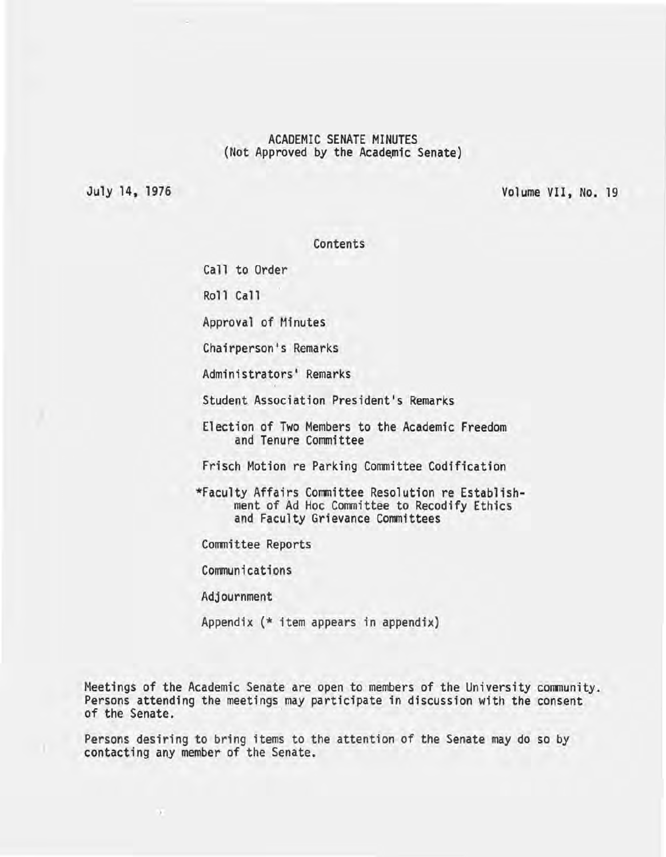# ACADEMIC SENATE MINUTES (Not Approved by the Academic Senate)

July 14. 1976

Volume VII, No. 19

Contents

Call to Order

Roll Call

Approval of Minutes

Chairperson's Remarks

Administrators' Remarks

Student Association President's Remarks

Election of Two Members to the Academic Freedom and Tenure Committee

Frisch Motion re Parking Committee Codification

\*Faculty Affairs Committee Resolution re Establishment of Ad Hoc Committee to Recodify Ethics and Faculty Grievance Committees

Committee Reports

Communications

Adjournment

v

Appendix (\* item appears in appendix)

Meetings of the Academic Senate are open to members of the University community. Persons attending the meetings may participate in discussion with the consent of the Senate.

Persons desiring to bring items to the attention of the Senate may do so by contacting any member of the Senate.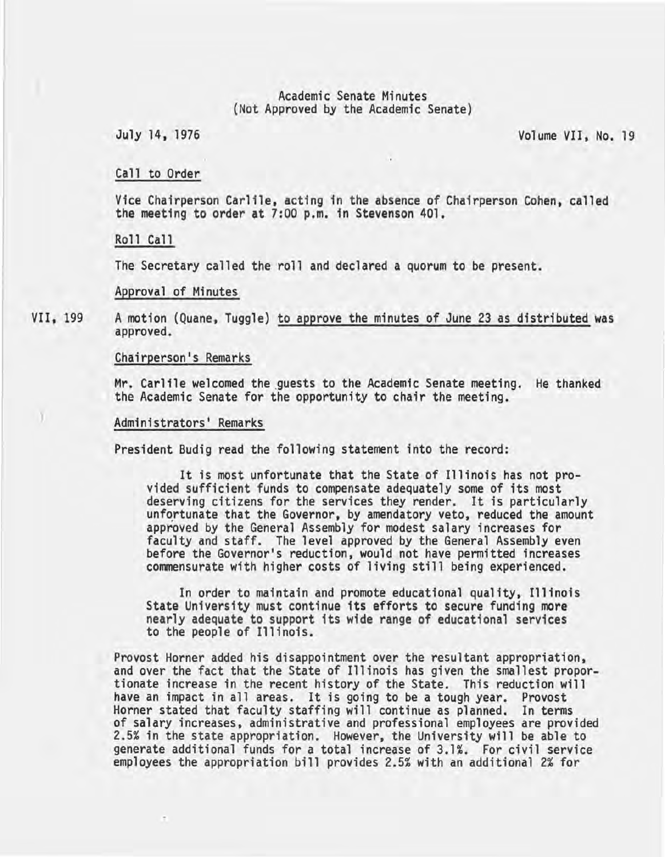#### Academic Senate Minutes (Not Approved by the Academic Senate)

July 14, 1976 Volume VII, No. 19

# Call to Order

Vice Chairperson Carlile. acting in the absence of Chairperson Cohen, called the meeting to order at 7:00 p.m. in Stevenson 401.

Roll Call

The Secretary called the roll and declared a quorum to be present.

#### Approval of Minutes

VII, 199 A motion (Quane, Tuggle) to approve the minutes of June 23 as distributed was approved.

#### Chairperson's Remarks

Mr. Carlile welcomed the guests to the Academic Senate meeting. He thanked the Academic Senate for the opportunity to chair the meeting.

# Administrators' Remarks

President Budig read the following statement into the record:

It is most unfortunate that the State of Illinois has not pro- vided sufficient funds to compensate adequately some of its most deserving citizens for the services they render. It is particularly unfortunate that the Governor, by amendatory veto, reduced the amount approved by the General Assembly for modest salary increases for faculty and staff. The level approved by the General Assembly even before the Governor's reduction, would not have permitted increases commensurate with higher costs of living still being experienced.

In order to maintain and promote educational quality. Illinois State University must continue its efforts to secure funding more nearly adequate to support its wide range of educational services to the people of Illinois.

Provost Horner added his disappointment over the resultant appropriation, and over the fact that the State of Illinois has given the smallest propor- tionate increase in the recent history of the State. This reduction will have an impact in all areas. It is going to be a tough year. Provost Horner stated that faculty staffing will continue as planned. In terms of salary increases, administrative and professional employees are provided 2.5% in the state appropriation. However, the University will be able to generate additional funds for a total increase of 3.1%. For civil service employees the appropriation bill provides 2.5% with an additional 2% for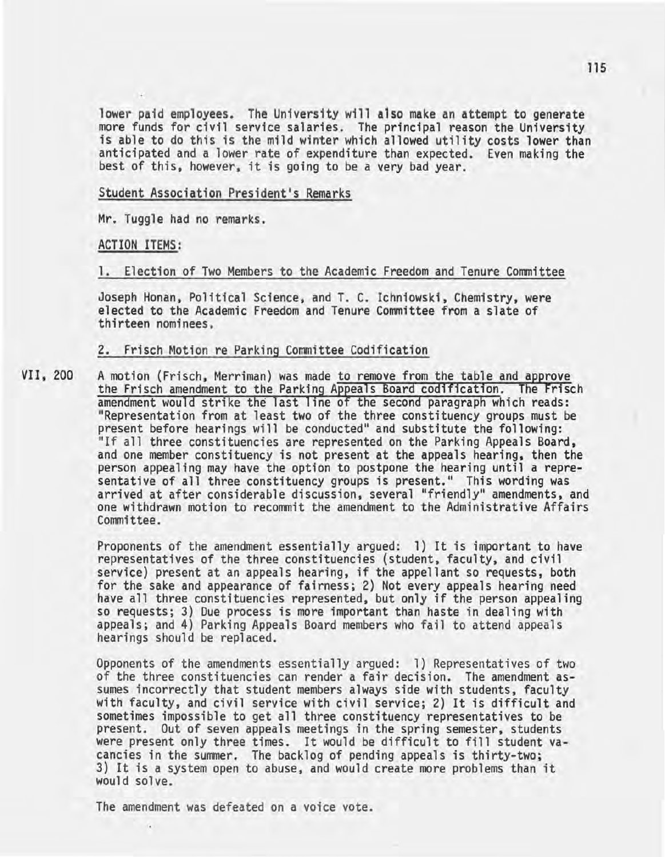lower paid employees. The University will also make an attempt to generate more funds for civil service salaries. The principal reason the University is able to do this is the mild winter which allowed utility costs lower than anticipated and a lower rate of expenditure than expected. Even making the best of this, however, it is going to be a very bad year.

Student Association President's Remarks

Mr. Tuggle had no remarks.

ACTION ITEMS:

1. Election of Two Members to the Academic Freedom and Tenure Committee

Joseph Honan, Political Science, and T. C. Ichniowski, Chemistry, were elected to the Academic Freedom and Tenure Committee from a slate of thirteen nominees.

2. Frisch Motion re Parking Committee Codification

VII, 200 A motion (Frisch, Merriman) was made to remove from the table and approve the Frisch amendment to the Parking Appeals Board codification. The Frisch amendment would strike the last line of the second paragraph which reads: "Representation from at least two of the three constituency groups must be present before hearings will be conducted" and substitute the following:<br>"If all three constituencies are represented on the Parking Appeals Board, and one member constituency is not present at the appeals hearing, then the person appealing may have the option to postpone the hearing until a representative of all three constituency groups is present." This wording was arrived at after considerable discussion, several "friendly" amendments, and one withdrawn motion to recommit the amendment to the Administrative Affairs Committee.

> Proponents of the amendment essentially argued: 1) It is important to have representatives of the three constituencies (student, faculty, and civil service) present at an appeals hearing, if the appellant so requests, both for the sake and appearance of fairness; 2) Not every appeals hearing need have all three constituencies represented, but only if the person appealing so requests; 3) Due process is more important than haste in dealing with appeals; and 4) Parking Appeals Board members who fail to attend appeals hearings should be replaced.

Opponents of the amendments essentially argued: 1) Representatives of two of the three constituencies can render a fair decision. The amendment assumes incorrectly that student members always side with students, faculty with faculty, and civil service with civil service; 2) It is difficult and sometimes impossible to get all three constituency representatives to be present. Out of seven appeals meetings in the spring semester, students were present only three times. It would be difficult to fill student va-<br>cancies in the summer. The backlog of pending appeals is thirty-two; 3) It is a system open to abuse, and would create more problems than it would solve.

The amendment was defeated on a voice vote.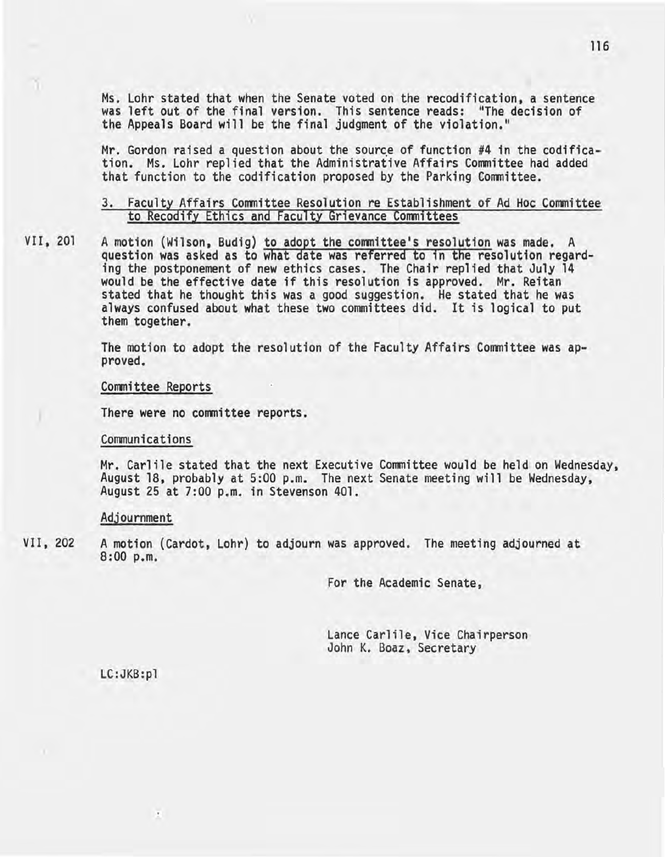Ms. Lohr stated that when the Senate voted on the recodification, a sentence was left out of the final version. This sentence reads: "The decision of the Appeals Board will be the final judgment of the violation."

Mr. Gordon raised a question about the source of function  $#4$  in the codification. Ms. Lohr replied that the Administrative Affairs Committee had added that function to the codification proposed by the Parking Committee.

# 3. Faculty Affairs Committee Resolution re Establishment of Ad Hoc Committee to Recodify Ethics and Faculty Grievance committees

VII, 201 A motion (Wilson, Budig) to adopt the committee's resolution was made. A question was asked as to what date was referred to in the resolution regarding the postponement of new ethics cases. The Chair replied that July 14 would be the effective date if this resolution is approved. Mr. Reitan stated that he thought this was a good suggestion. He stated that he was always confused about what these two committees did. It is logical to put them together.

The motion to adopt the resolution of the Faculty Affairs Committee was ap- proved.

#### Committee Reports

) There were no committee reports.

#### Communications

Mr. Carlile stated that the next Executive Committee would be held on Wednesday, August 18, probably at 5:00 p.m. The next Senate meeting will be Wednesday, August 25 at 7:00 p.m. in Stevenson 401.

#### Adjournment

VII, 202 A motion (Cardot, Lohr) to adjourn was approved. The meeting adjourned at 8:00 p.m.

For the Academic Senate,

Lance Carlile, Vice Chairperson<br>John K. Boaz, Secretary

LC:JKB:pl

 $\sim$